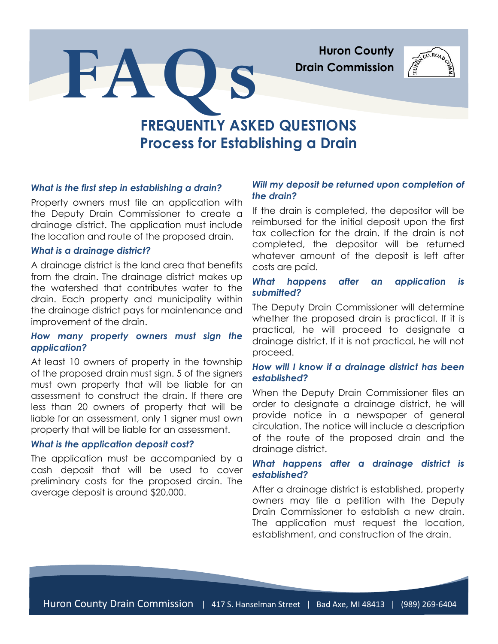**Huron County Drain Commission**

# **FREQUENTLY ASKED QUESTIONS Process for Establishing a Drain**

## *What is the first step in establishing a drain?*

Property owners must file an application with the Deputy Drain Commissioner to create a drainage district. The application must include the location and route of the proposed drain.

**FAQ s**

## *What is a drainage district?*

A drainage district is the land area that benefits from the drain. The drainage district makes up the watershed that contributes water to the drain. Each property and municipality within the drainage district pays for maintenance and improvement of the drain.

# *How many property owners must sign the application?*

At least 10 owners of property in the township of the proposed drain must sign. 5 of the signers must own property that will be liable for an assessment to construct the drain. If there are less than 20 owners of property that will be liable for an assessment, only 1 signer must own property that will be liable for an assessment.

#### *What is the application deposit cost?*

The application must be accompanied by a cash deposit that will be used to cover preliminary costs for the proposed drain. The average deposit is around \$20,000.

# *Will my deposit be returned upon completion of the drain?*

If the drain is completed, the depositor will be reimbursed for the initial deposit upon the first tax collection for the drain. If the drain is not completed, the depositor will be returned whatever amount of the deposit is left after costs are paid.

# *What happens after an application is submitted?*

The Deputy Drain Commissioner will determine whether the proposed drain is practical. If it is practical, he will proceed to designate a drainage district. If it is not practical, he will not proceed.

# *How will I know if a drainage district has been established?*

When the Deputy Drain Commissioner files an order to designate a drainage district, he will provide notice in a newspaper of general circulation. The notice will include a description of the route of the proposed drain and the drainage district.

# *What happens after a drainage district is established?*

After a drainage district is established, property owners may file a petition with the Deputy Drain Commissioner to establish a new drain. The application must request the location, establishment, and construction of the drain.